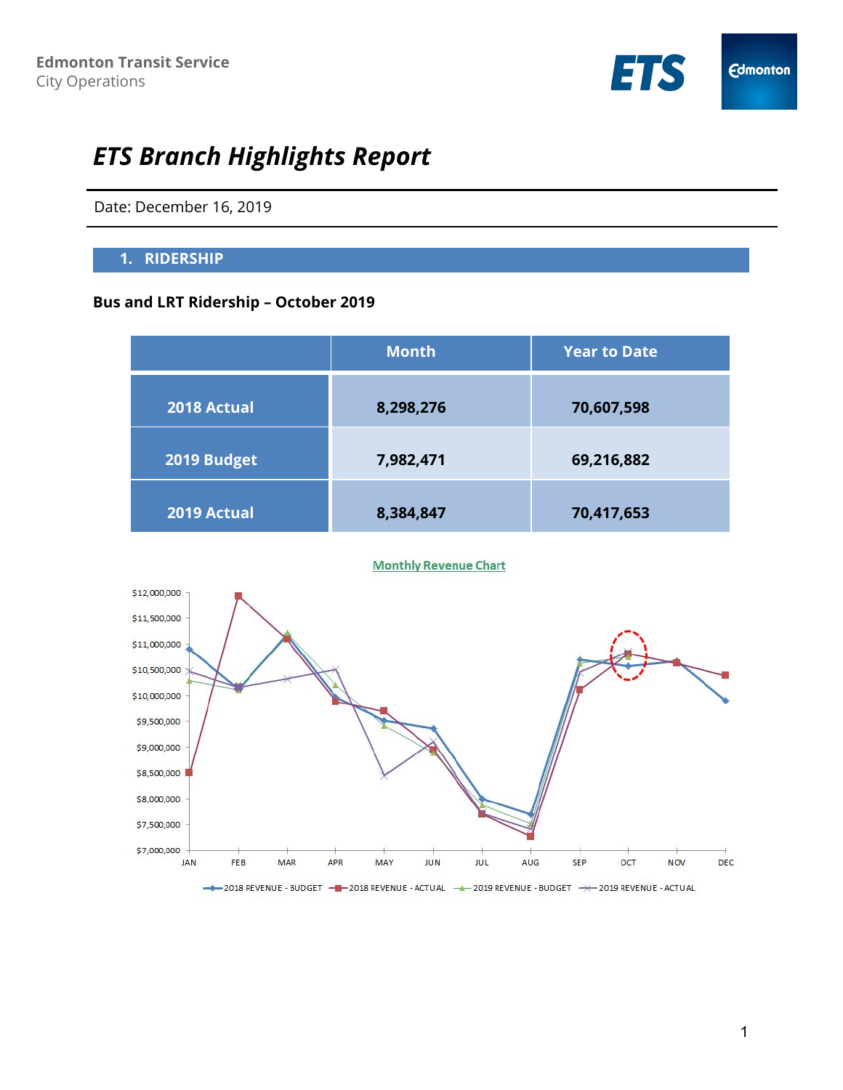

# *ETS Branch Highlights Report*

Date: December 16, 2019

#### **1. RIDERSHIP**

## **Bus and LRT Ridership – October 2019**

|             | <b>Month</b> | <b>Year to Date</b> |
|-------------|--------------|---------------------|
| 2018 Actual | 8,298,276    | 70,607,598          |
| 2019 Budget | 7,982,471    | 69,216,882          |
| 2019 Actual | 8,384,847    | 70,417,653          |



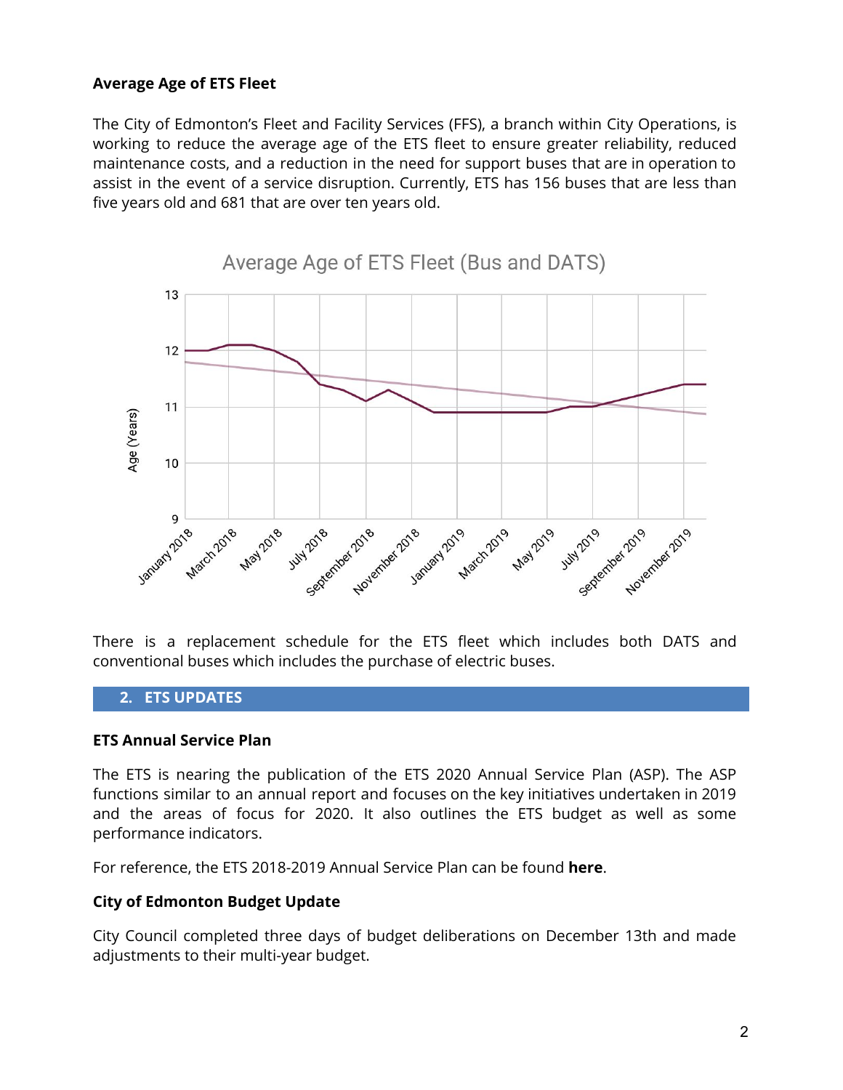#### **Average Age of ETS Fleet**

The City of Edmonton's Fleet and Facility Services (FFS), a branch within City Operations, is working to reduce the average age of the ETS fleet to ensure greater reliability, reduced maintenance costs, and a reduction in the need for support buses that are in operation to assist in the event of a service disruption. Currently, ETS has 156 buses that are less than five years old and 681 that are over ten years old.



There is a replacement schedule for the ETS fleet which includes both DATS and conventional buses which includes the purchase of electric buses.

#### **2. ETS UPDATES**

#### **ETS Annual Service Plan**

The ETS is nearing the publication of the ETS 2020 Annual Service Plan (ASP). The ASP functions similar to an annual report and focuses on the key initiatives undertaken in 2019 and the areas of focus for 2020. It also outlines the ETS budget as well as some performance indicators.

For reference, the ETS 2018-2019 Annual Service Plan can be found **[here](https://www.edmonton.ca/transportation/transit/ETS_Annual_Service_Plan_Final.pdf)**.

#### **City of Edmonton Budget Update**

City Council completed three days of budget deliberations on December 13th and made adjustments to their multi-year budget.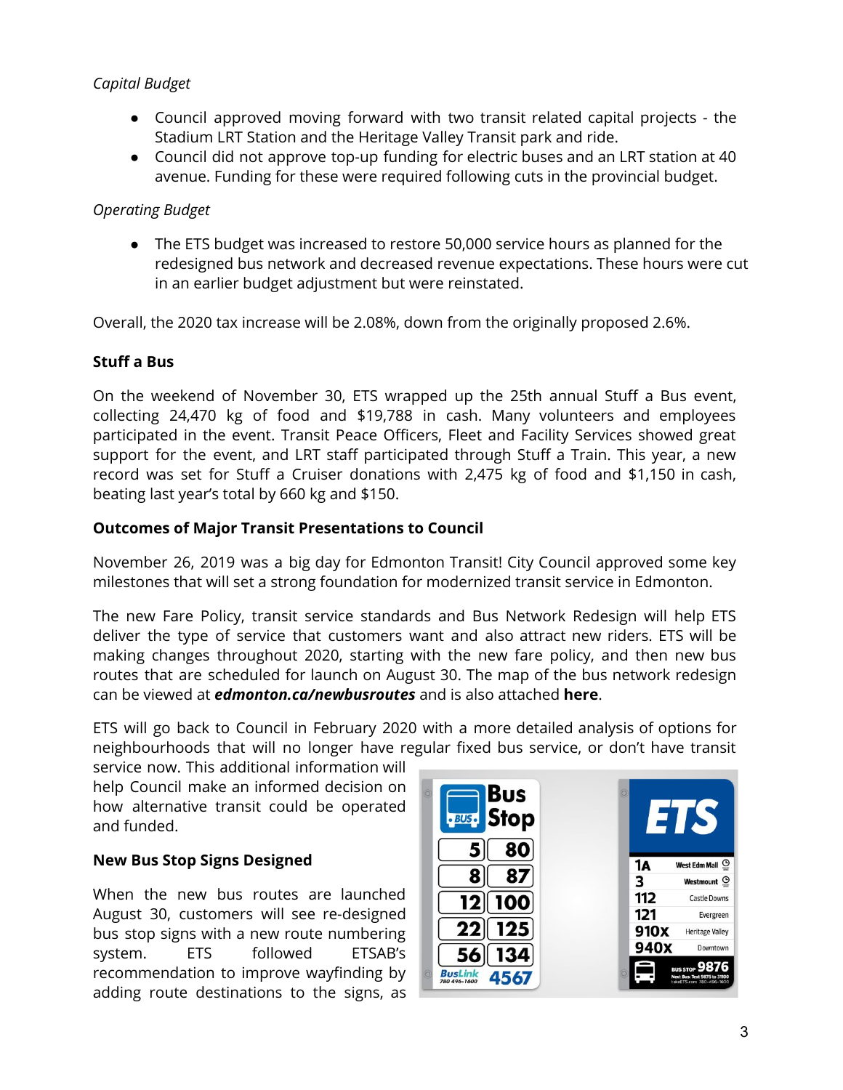# *Capital Budget*

- Council approved moving forward with two transit related capital projects the Stadium LRT Station and the Heritage Valley Transit park and ride.
- Council did not approve top-up funding for electric buses and an LRT station at 40 avenue. Funding for these were required following cuts in the provincial budget.

# *Operating Budget*

The ETS budget was increased to restore 50,000 service hours as planned for the redesigned bus network and decreased revenue expectations. These hours were cut in an earlier budget adjustment but were reinstated.

Overall, the 2020 tax increase will be 2.08%, down from the originally proposed 2.6%.

# **Stuff a Bus**

On the weekend of November 30, ETS wrapped up the 25th annual Stuff a Bus event, collecting 24,470 kg of food and \$19,788 in cash. Many volunteers and employees participated in the event. Transit Peace Officers, Fleet and Facility Services showed great support for the event, and LRT staff participated through Stuff a Train. This year, a new record was set for Stuff a Cruiser donations with 2,475 kg of food and \$1,150 in cash, beating last year's total by 660 kg and \$150.

# **Outcomes of Major Transit Presentations to Council**

November 26, 2019 was a big day for Edmonton Transit! City Council approved some key milestones that will set a strong foundation for modernized transit service in Edmonton.

The new Fare Policy, transit service standards and Bus Network Redesign will help ETS deliver the type of service that customers want and also attract new riders. ETS will be making changes throughout 2020, starting with the new fare policy, and then new bus routes that are scheduled for launch on August 30. The map of the bus network redesign can be viewed at *[edmonton.ca/newbusroutes](http://edmonton.ca/newbusroutes)* and is also attache[d](https://www.edmonton.ca/documents/PDF/Bus_Network_Redesign_All_Routes.pdf) **[here](https://www.edmonton.ca/documents/PDF/Bus_Network_Redesign_All_Routes.pdf)**.

ETS will go back to Council in February 2020 with a more detailed analysis of options for neighbourhoods that will no longer have regular fixed bus service, or don't have transit

service now. This additional information will help Council make an informed decision on how alternative transit could be operated and funded.

# **New Bus Stop Signs Designed**

When the new bus routes are launched August 30, customers will see re-designed bus stop signs with a new route numbering system. ETS followed ETSAB's recommendation to improve wayfinding by adding route destinations to the signs, as

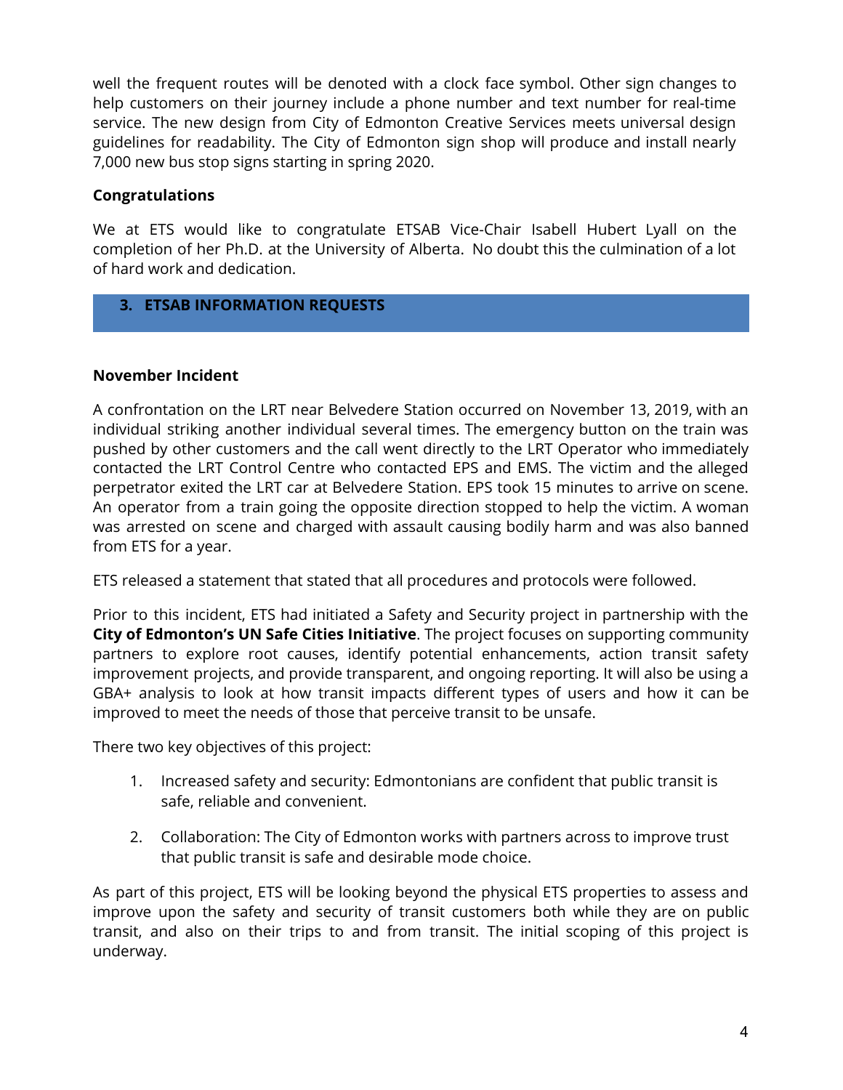well the frequent routes will be denoted with a clock face symbol. Other sign changes to help customers on their journey include a phone number and text number for real-time service. The new design from City of Edmonton Creative Services meets universal design guidelines for readability. The City of Edmonton sign shop will produce and install nearly 7,000 new bus stop signs starting in spring 2020.

## **Congratulations**

We at ETS would like to congratulate ETSAB Vice-Chair Isabell Hubert Lyall on the completion of her Ph.D. at the University of Alberta. No doubt this the culmination of a lot of hard work and dedication.

## **3. ETSAB INFORMATION REQUESTS**

### **November Incident**

A confrontation on the LRT near Belvedere Station occurred on November 13, 2019, with an individual striking another individual several times. The emergency button on the train was pushed by other customers and the call went directly to the LRT Operator who immediately contacted the LRT Control Centre who contacted EPS and EMS. The victim and the alleged perpetrator exited the LRT car at Belvedere Station. EPS took 15 minutes to arrive on scene. An operator from a train going the opposite direction stopped to help the victim. A woman was arrested on scene and charged with assault causing bodily harm and was also banned from ETS for a year.

ETS released a statement that stated that all procedures and protocols were followed.

Prior to this incident, ETS had initiated a Safety and Security project in partnership with the **City of [Edmonton's](https://www.edmonton.ca/city_government/initiatives_innovation/united-nations-women-safe-citi.aspx) UN Safe Cities Initiative**. The project focuses on supporting community partners to explore root causes, identify potential enhancements, action transit safety improvement projects, and provide transparent, and ongoing reporting. It will also be using a GBA+ analysis to look at how transit impacts different types of users and how it can be improved to meet the needs of those that perceive transit to be unsafe.

There two key objectives of this project:

- 1. Increased safety and security: Edmontonians are confident that public transit is safe, reliable and convenient.
- 2. Collaboration: The City of Edmonton works with partners across to improve trust that public transit is safe and desirable mode choice.

As part of this project, ETS will be looking beyond the physical ETS properties to assess and improve upon the safety and security of transit customers both while they are on public transit, and also on their trips to and from transit. The initial scoping of this project is underway.